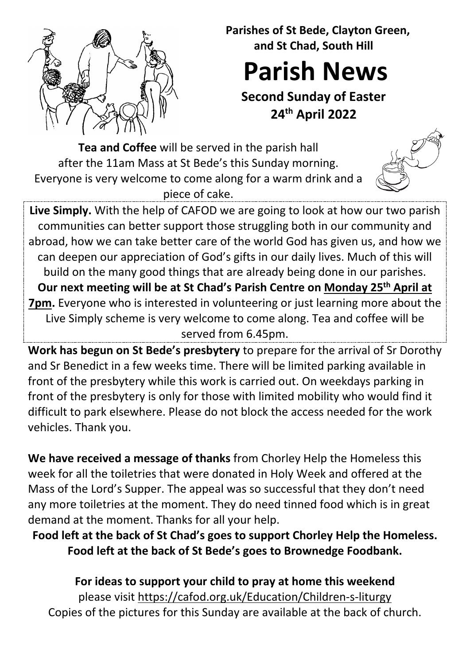

 **Parishes of St Bede, Clayton Green, and St Chad, South Hill**

**Parish News**

**Second Sunday of Easter 24th April 2022**

**Tea and Coffee** will be served in the parish hall after the 11am Mass at St Bede's this Sunday morning. Everyone is very welcome to come along for a warm drink and a piece of cake.



**Live Simply.** With the help of CAFOD we are going to look at how our two parish communities can better support those struggling both in our community and abroad, how we can take better care of the world God has given us, and how we can deepen our appreciation of God's gifts in our daily lives. Much of this will build on the many good things that are already being done in our parishes. **Our next meeting will be at St Chad's Parish Centre on Monday 25th April at 7pm.** Everyone who is interested in volunteering or just learning more about the Live Simply scheme is very welcome to come along. Tea and coffee will be served from 6.45pm.

**Work has begun on St Bede's presbytery** to prepare for the arrival of Sr Dorothy and Sr Benedict in a few weeks time. There will be limited parking available in front of the presbytery while this work is carried out. On weekdays parking in front of the presbytery is only for those with limited mobility who would find it difficult to park elsewhere. Please do not block the access needed for the work vehicles. Thank you.

**We have received a message of thanks** from Chorley Help the Homeless this week for all the toiletries that were donated in Holy Week and offered at the Mass of the Lord's Supper. The appeal was so successful that they don't need any more toiletries at the moment. They do need tinned food which is in great demand at the moment. Thanks for all your help.

**Food left at the back of St Chad's goes to support Chorley Help the Homeless. Food left at the back of St Bede's goes to Brownedge Foodbank.**

**For ideas to support your child to pray at home this weekend**  please visit<https://cafod.org.uk/Education/Children-s-liturgy> Copies of the pictures for this Sunday are available at the back of church.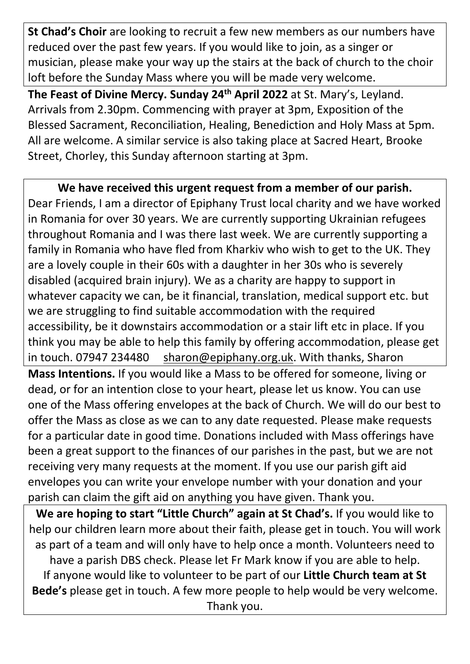**St Chad's Choir** are looking to recruit a few new members as our numbers have reduced over the past few years. If you would like to join, as a singer or musician, please make your way up the stairs at the back of church to the choir loft before the Sunday Mass where you will be made very welcome.

**The Feast of Divine Mercy. Sunday 24th April 2022** at St. Mary's, Leyland. Arrivals from 2.30pm. Commencing with prayer at 3pm, Exposition of the Blessed Sacrament, Reconciliation, Healing, Benediction and Holy Mass at 5pm. All are welcome. A similar service is also taking place at Sacred Heart, Brooke Street, Chorley, this Sunday afternoon starting at 3pm.

**We have received this urgent request from a member of our parish.** Dear Friends, I am a director of Epiphany Trust local charity and we have worked in Romania for over 30 years. We are currently supporting Ukrainian refugees throughout Romania and I was there last week. We are currently supporting a family in Romania who have fled from Kharkiv who wish to get to the UK. They are a lovely couple in their 60s with a daughter in her 30s who is severely disabled (acquired brain injury). We as a charity are happy to support in whatever capacity we can, be it financial, translation, medical support etc. but we are struggling to find suitable accommodation with the required accessibility, be it downstairs accommodation or a stair lift etc in place. If you think you may be able to help this family by offering accommodation, please get in touch. 07947 234480 [sharon@epiphany.org.uk.](mailto:sharon@epiphany.org.uk) With thanks, Sharon **Mass Intentions.** If you would like a Mass to be offered for someone, living or dead, or for an intention close to your heart, please let us know. You can use one of the Mass offering envelopes at the back of Church. We will do our best to offer the Mass as close as we can to any date requested. Please make requests for a particular date in good time. Donations included with Mass offerings have been a great support to the finances of our parishes in the past, but we are not receiving very many requests at the moment. If you use our parish gift aid envelopes you can write your envelope number with your donation and your parish can claim the gift aid on anything you have given. Thank you.

**We are hoping to start "Little Church" again at St Chad's.** If you would like to help our children learn more about their faith, please get in touch. You will work as part of a team and will only have to help once a month. Volunteers need to have a parish DBS check. Please let Fr Mark know if you are able to help. If anyone would like to volunteer to be part of our **Little Church team at St Bede's** please get in touch. A few more people to help would be very welcome. Thank you.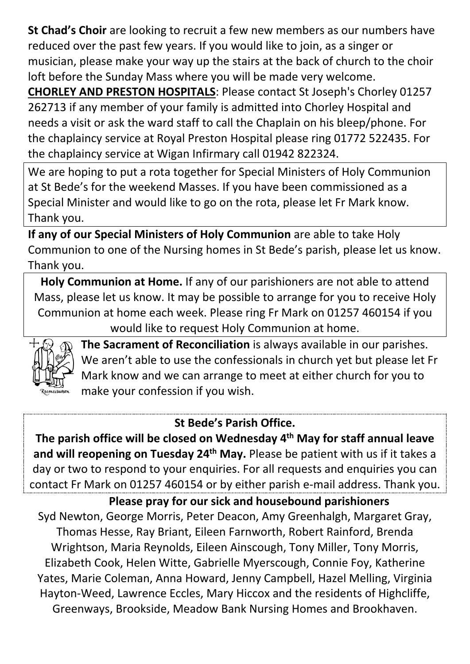**St Chad's Choir** are looking to recruit a few new members as our numbers have reduced over the past few years. If you would like to join, as a singer or musician, please make your way up the stairs at the back of church to the choir loft before the Sunday Mass where you will be made very welcome.

**CHORLEY AND PRESTON HOSPITALS**: Please contact St Joseph's Chorley 01257 262713 if any member of your family is admitted into Chorley Hospital and needs a visit or ask the ward staff to call the Chaplain on his bleep/phone. For the chaplaincy service at Royal Preston Hospital please ring 01772 522435. For the chaplaincy service at Wigan Infirmary call 01942 822324.

We are hoping to put a rota together for Special Ministers of Holy Communion at St Bede's for the weekend Masses. If you have been commissioned as a Special Minister and would like to go on the rota, please let Fr Mark know. Thank you.

**If any of our Special Ministers of Holy Communion** are able to take Holy Communion to one of the Nursing homes in St Bede's parish, please let us know. Thank you.

**Holy Communion at Home.** If any of our parishioners are not able to attend Mass, please let us know. It may be possible to arrange for you to receive Holy Communion at home each week. Please ring Fr Mark on 01257 460154 if you would like to request Holy Communion at home.



**The Sacrament of Reconciliation** is always available in our parishes. We aren't able to use the confessionals in church yet but please let Fr Mark know and we can arrange to meet at either church for you to make your confession if you wish.

## **St Bede's Parish Office.**

**The parish office will be closed on Wednesday 4th May for staff annual leave and will reopening on Tuesday 24th May.** Please be patient with us if it takes a day or two to respond to your enquiries. For all requests and enquiries you can contact Fr Mark on 01257 460154 or by either parish e-mail address. Thank you.

**Please pray for our sick and housebound parishioners** Syd Newton, George Morris, Peter Deacon, Amy Greenhalgh, Margaret Gray, Thomas Hesse, Ray Briant, Eileen Farnworth, Robert Rainford, Brenda Wrightson, Maria Reynolds, Eileen Ainscough, Tony Miller, Tony Morris, Elizabeth Cook, Helen Witte, Gabrielle Myerscough, Connie Foy, Katherine Yates, Marie Coleman, Anna Howard, Jenny Campbell, Hazel Melling, Virginia Hayton-Weed, Lawrence Eccles, Mary Hiccox and the residents of Highcliffe, Greenways, Brookside, Meadow Bank Nursing Homes and Brookhaven.